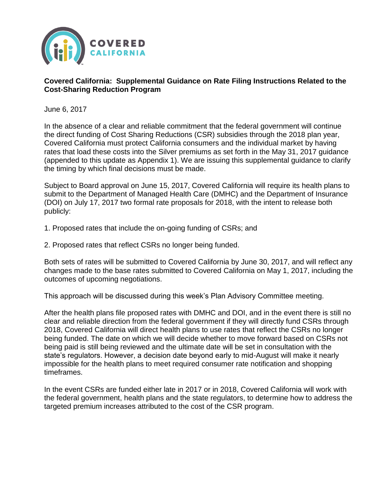

## **Covered California: Supplemental Guidance on Rate Filing Instructions Related to the Cost-Sharing Reduction Program**

June 6, 2017

In the absence of a clear and reliable commitment that the federal government will continue the direct funding of Cost Sharing Reductions (CSR) subsidies through the 2018 plan year, Covered California must protect California consumers and the individual market by having rates that load these costs into the Silver premiums as set forth in the May 31, 2017 guidance (appended to this update as Appendix 1). We are issuing this supplemental guidance to clarify the timing by which final decisions must be made.

Subject to Board approval on June 15, 2017, Covered California will require its health plans to submit to the Department of Managed Health Care (DMHC) and the Department of Insurance (DOI) on July 17, 2017 two formal rate proposals for 2018, with the intent to release both publicly:

- 1. Proposed rates that include the on-going funding of CSRs; and
- 2. Proposed rates that reflect CSRs no longer being funded.

Both sets of rates will be submitted to Covered California by June 30, 2017, and will reflect any changes made to the base rates submitted to Covered California on May 1, 2017, including the outcomes of upcoming negotiations.

This approach will be discussed during this week's Plan Advisory Committee meeting.

After the health plans file proposed rates with DMHC and DOI, and in the event there is still no clear and reliable direction from the federal government if they will directly fund CSRs through 2018, Covered California will direct health plans to use rates that reflect the CSRs no longer being funded. The date on which we will decide whether to move forward based on CSRs not being paid is still being reviewed and the ultimate date will be set in consultation with the state's regulators. However, a decision date beyond early to mid-August will make it nearly impossible for the health plans to meet required consumer rate notification and shopping timeframes.

In the event CSRs are funded either late in 2017 or in 2018, Covered California will work with the federal government, health plans and the state regulators, to determine how to address the targeted premium increases attributed to the cost of the CSR program.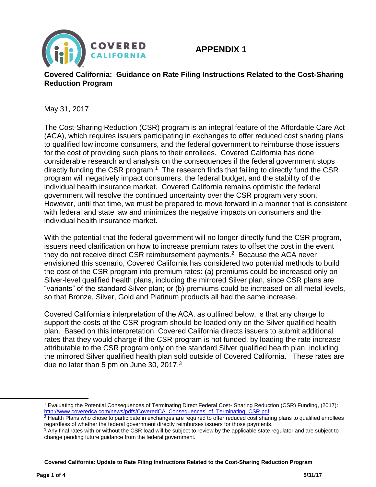

## **APPENDIX 1**

## **Covered California: Guidance on Rate Filing Instructions Related to the Cost-Sharing Reduction Program**

May 31, 2017

The Cost-Sharing Reduction (CSR) program is an integral feature of the Affordable Care Act (ACA), which requires issuers participating in exchanges to offer reduced cost sharing plans to qualified low income consumers, and the federal government to reimburse those issuers for the cost of providing such plans to their enrollees. Covered California has done considerable research and analysis on the consequences if the federal government stops directly funding the CSR program.<sup>1</sup> The research finds that failing to directly fund the CSR program will negatively impact consumers, the federal budget, and the stability of the individual health insurance market. Covered California remains optimistic the federal government will resolve the continued uncertainty over the CSR program very soon. However, until that time, we must be prepared to move forward in a manner that is consistent with federal and state law and minimizes the negative impacts on consumers and the individual health insurance market.

With the potential that the federal government will no longer directly fund the CSR program, issuers need clarification on how to increase premium rates to offset the cost in the event they do not receive direct CSR reimbursement payments.<sup>2</sup> Because the ACA never envisioned this scenario, Covered California has considered two potential methods to build the cost of the CSR program into premium rates: (a) premiums could be increased only on Silver-level qualified health plans, including the mirrored Silver plan, since CSR plans are "variants" of the standard Silver plan; or (b) premiums could be increased on all metal levels, so that Bronze, Silver, Gold and Platinum products all had the same increase.

Covered California's interpretation of the ACA, as outlined below, is that any charge to support the costs of the CSR program should be loaded only on the Silver qualified health plan. Based on this interpretation, Covered California directs issuers to submit additional rates that they would charge if the CSR program is not funded, by loading the rate increase attributable to the CSR program only on the standard Silver qualified health plan, including the mirrored Silver qualified health plan sold outside of Covered California. These rates are due no later than 5 pm on June 30, 2017. $3$ 

**Covered California: Update to Rate Filing Instructions Related to the Cost-Sharing Reduction Program**

l

<sup>1</sup> [Evaluating the Potential Consequences of Terminating Direct Federal Cost-](http://www.coveredca.com/news/pdfs/CoveredCA_Consequences_of_Terminating_CSR.pdf) Sharing Reduction (CSR) Funding, (2017): [http://www.coveredca.com/news/pdfs/CoveredCA\\_Consequences\\_of\\_Terminating\\_CSR.pdf](http://www.coveredca.com/news/pdfs/CoveredCA_Consequences_of_Terminating_CSR.pdf) 

 $2$  Health Plans who chose to participate in exchanges are required to offer reduced cost sharing plans to qualified enrollees regardless of whether the federal government directly reimburses issuers for those payments.

<sup>&</sup>lt;sup>3</sup> Any final rates with or without the CSR load will be subject to review by the applicable state regulator and are subject to change pending future guidance from the federal government.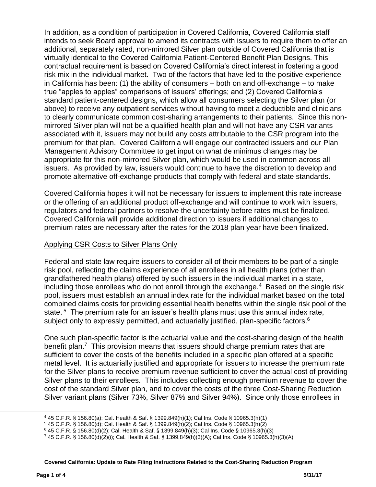In addition, as a condition of participation in Covered California, Covered California staff intends to seek Board approval to amend its contracts with issuers to require them to offer an additional, separately rated, non-mirrored Silver plan outside of Covered California that is virtually identical to the Covered California Patient-Centered Benefit Plan Designs. This contractual requirement is based on Covered California's direct interest in fostering a good risk mix in the individual market. Two of the factors that have led to the positive experience in California has been: (1) the ability of consumers – both on and off-exchange – to make true "apples to apples" comparisons of issuers' offerings; and (2) Covered California's standard patient-centered designs, which allow all consumers selecting the Silver plan (or above) to receive any outpatient services without having to meet a deductible and clinicians to clearly communicate common cost-sharing arrangements to their patients. Since this nonmirrored Silver plan will not be a qualified health plan and will not have any CSR variants associated with it, issuers may not build any costs attributable to the CSR program into the premium for that plan. Covered California will engage our contracted issuers and our Plan Management Advisory Committee to get input on what de minimus changes may be appropriate for this non-mirrored Silver plan, which would be used in common across all issuers. As provided by law, issuers would continue to have the discretion to develop and promote alternative off-exchange products that comply with federal and state standards.

Covered California hopes it will not be necessary for issuers to implement this rate increase or the offering of an additional product off-exchange and will continue to work with issuers, regulators and federal partners to resolve the uncertainty before rates must be finalized. Covered California will provide additional direction to issuers if additional changes to premium rates are necessary after the rates for the 2018 plan year have been finalized.

## Applying CSR Costs to Silver Plans Only

Federal and state law require issuers to consider all of their members to be part of a single risk pool, reflecting the claims experience of all enrollees in all health plans (other than grandfathered health plans) offered by such issuers in the individual market in a state, including those enrollees who do not enroll through the exchange.<sup>4</sup> Based on the single risk pool, issuers must establish an annual index rate for the individual market based on the total combined claims costs for providing essential health benefits within the single risk pool of the state.<sup>5</sup> The premium rate for an issuer's health plans must use this annual index rate, subject only to expressly permitted, and actuarially justified, plan-specific factors.<sup>6</sup>

One such plan-specific factor is the actuarial value and the cost-sharing design of the health benefit plan.<sup>7</sup> This provision means that issuers should charge premium rates that are sufficient to cover the costs of the benefits included in a specific plan offered at a specific metal level. It is actuarially justified and appropriate for issuers to increase the premium rate for the Silver plans to receive premium revenue sufficient to cover the actual cost of providing Silver plans to their enrollees. This includes collecting enough premium revenue to cover the cost of the standard Silver plan, and to cover the costs of the three Cost-Sharing Reduction Silver variant plans (Silver 73%, Silver 87% and Silver 94%). Since only those enrollees in

l

<sup>4</sup> 45 C.F.R. § 156.80(a); Cal. Health & Saf. § 1399.849(h)(1); Cal Ins. Code § 10965.3(h)(1)

<sup>5</sup> 45 C.F.R. § 156.80(d); Cal. Health & Saf. § 1399.849(h)(2); Cal Ins. Code § 10965.3(h)(2)

<sup>6</sup> 45 C.F.R. § 156.80(d)(2); Cal. Health & Saf. § 1399.849(h)(3); Cal Ins. Code § 10965.3(h)(3)

<sup>7</sup> 45 C.F.R. § 156.80(d)(2)(i); Cal. Health & Saf. § 1399.849(h)(3)(A); Cal Ins. Code § 10965.3(h)(3)(A)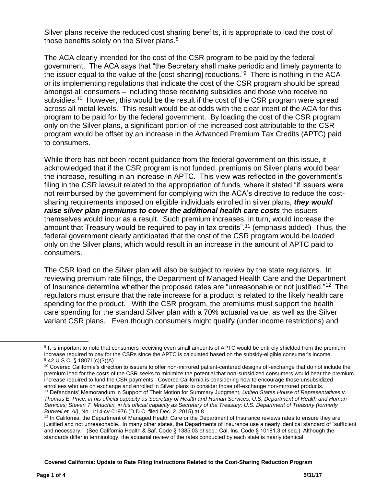Silver plans receive the reduced cost sharing benefits, it is appropriate to load the cost of those benefits solely on the Silver plans.<sup>8</sup>

The ACA clearly intended for the cost of the CSR program to be paid by the federal government. The ACA says that "the Secretary shall make periodic and timely payments to the issuer equal to the value of the [cost-sharing] reductions."<sup>9</sup> There is nothing in the ACA or its implementing regulations that indicate the cost of the CSR program should be spread amongst all consumers – including those receiving subsidies and those who receive no subsidies.<sup>10</sup> However, this would be the result if the cost of the CSR program were spread across all metal levels. This result would be at odds with the clear intent of the ACA for this program to be paid for by the federal government. By loading the cost of the CSR program only on the Silver plans, a significant portion of the increased cost attributable to the CSR program would be offset by an increase in the Advanced Premium Tax Credits (APTC) paid to consumers.

While there has not been recent guidance from the federal government on this issue, it acknowledged that if the CSR program is not funded, premiums on Silver plans would bear the increase, resulting in an increase in APTC. This view was reflected in the government's filing in the CSR lawsuit related to the appropriation of funds, where it stated "if issuers were not reimbursed by the government for complying with the ACA's directive to reduce the costsharing requirements imposed on eligible individuals enrolled in silver plans, *they would raise silver plan premiums to cover the additional health care costs* the issuers themselves would incur as a result. Such premium increases, in turn, would increase the amount that Treasury would be required to pay in tax credits".<sup>11</sup> (emphasis added) Thus, the federal government clearly anticipated that the cost of the CSR program would be loaded only on the Silver plans, which would result in an increase in the amount of APTC paid to consumers.

The CSR load on the Silver plan will also be subject to review by the state regulators. In reviewing premium rate filings, the Department of Managed Health Care and the Department of Insurance determine whether the proposed rates are "unreasonable or not justified."<sup>12</sup> The regulators must ensure that the rate increase for a product is related to the likely health care spending for the product. With the CSR program, the premiums must support the health care spending for the standard Silver plan with a 70% actuarial value, as well as the Silver variant CSR plans. Even though consumers might qualify (under income restrictions) and

**Covered California: Update to Rate Filing Instructions Related to the Cost-Sharing Reduction Program**

 $\overline{\phantom{a}}$ 

<sup>&</sup>lt;sup>8</sup> It is important to note that consumers receiving even small amounts of APTC would be entirely shielded from the premium increase required to pay for the CSRs since the APTC is calculated based on the subsidy-eligible consumer's income. <sup>9</sup> 42 U.S.C. § 18071(c)(3)(A)

<sup>&</sup>lt;sup>10</sup> Covered California's direction to issuers to offer non-mirrored patient-centered designs off-exchange that do not include the premium load for the costs of the CSR seeks to minimize the potential that non-subsidized consumers would bear the premium increase required to fund the CSR payments. Covered California is considering how to encourage those unsubsidized enrollees who are on exchange and enrolled in Silver plans to consider those off-exchange non-mirrored products.

<sup>11</sup> Defendants' Memorandum in Support of Their Motion for Summary Judgment, *United States House of Representatives v. Thomas E. Price, in his official capacity as Secretary of Health and Human Services; U.S. Department of Health and Human Services; Steven T. Mnuchin, in his official capacity as Secretary of the Treasury; U.S. Department of Treasury (formerly Burwell et. Al)*, No. 1:14-cv-01976 (D.D.C. filed Dec. 2, 2015) at 8

<sup>&</sup>lt;sup>12</sup> In California, the Department of Managed Health Care or the Department of Insurance reviews rates to ensure they are justified and not unreasonable. In many other states, the Departments of Insurance use a nearly identical standard of "sufficient and necessary." (See California Health & Saf. Code § 1385.03 et seq.; Cal. Ins. Code § 10181.3 et seq.) Although the standards differ in terminology, the actuarial review of the rates conducted by each state is nearly identical.